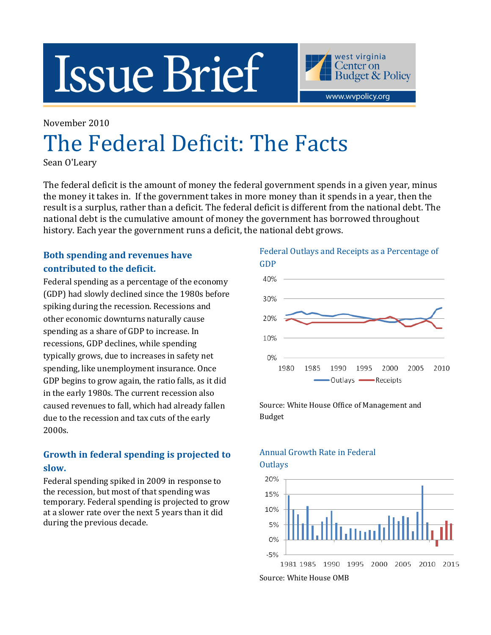# **Issue Brief**

west virginia Center on **Budget & Policy** www.wvpolicy.org

# November 2010 The Federal Deficit: The Facts

Sean O'Leary

The federal deficit is the amount of money the federal government spends in a given year, minus the money it takes in. If the government takes in more money than it spends in a year, then the result is a surplus, rather than a deficit. The federal deficit is different from the national debt. The national debt is the cumulative amount of money the government has borrowed throughout history. Each year the government runs a deficit, the national debt grows.

# Both spending and revenues have contributed to the deficit.

Federal spending as a percentage of the economy (GDP) had slowly declined since the 1980s before spiking during the recession. Recessions and other economic downturns naturally cause spending as a share of GDP to increase. In recessions, GDP declines, while spending typically grows, due to increases in safety net spending, like unemployment insurance. Once GDP begins to grow again, the ratio falls, as it did in the early 1980s. The current recession also caused revenues to fall, which had already fallen due to the recession and tax cuts of the early 2000s.

# Growth in federal spending is projected to slow.

Federal spending spiked in 2009 in response to the recession, but most of that spending was temporary. Federal spending is projected to grow at a slower rate over the next 5 years than it did during the previous decade.



Source: White House Office of Management and Budget

# Annual Growth Rate in Federal **Outlays**



Source: White House OMB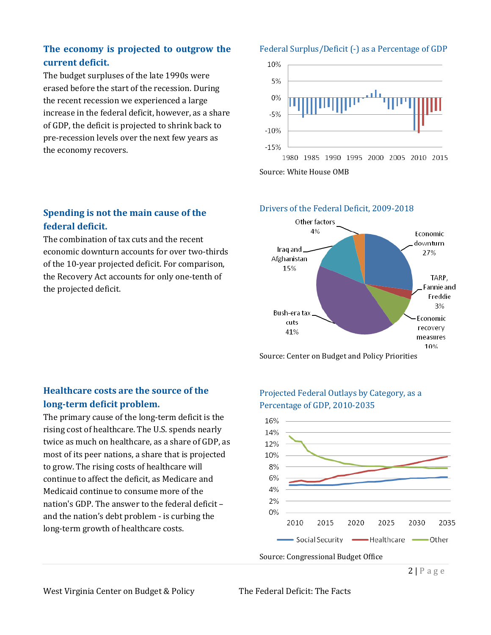# The economy is projected to outgrow the current deficit.

The budget surpluses of the late 1990s were erased before the start of the recession. During the recent recession we experienced a large increase in the federal deficit, however, as a share of GDP, the deficit is projected to shrink back to pre-recession levels over the next few years as the economy recovers.

# Spending is not the main cause of the federal deficit.

The combination of tax cuts and the recent economic downturn accounts for over two-thirds of the 10-year projected deficit. For comparison, the Recovery Act accounts for only one-tenth of the projected deficit.

#### Federal Surplus/Deficit (-) as a Percentage of GDP



Source: White House OMB

#### Drivers of the Federal Deficit, 2009-2018



Source: Center on Budget and Policy Priorities

## Healthcare costs are the source of the long-term deficit problem.

The primary cause of the long-term deficit is the rising cost of healthcare. The U.S. spends nearly twice as much on healthcare, as a share of GDP, as most of its peer nations, a share that is projected to grow. The rising costs of healthcare will continue to affect the deficit, as Medicare and Medicaid continue to consume more of the nation's GDP. The answer to the federal deficit – and the nation's debt problem - is curbing the long-term growth of healthcare costs.

## Projected Federal Outlays by Category, as a Percentage of GDP, 2010-2035



 $2 | P a g e$